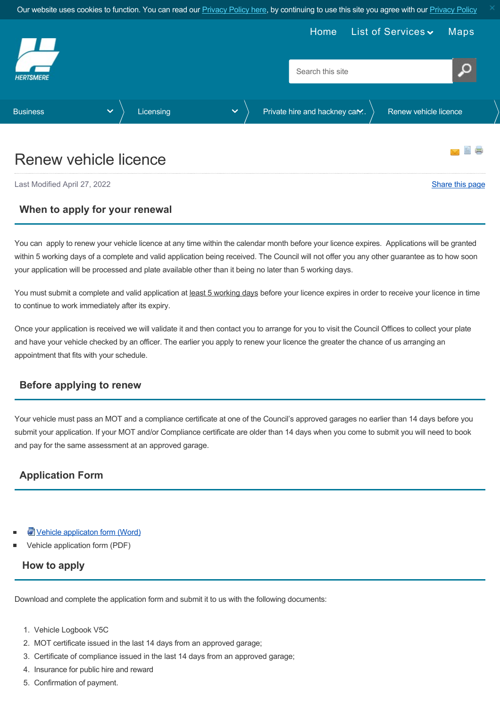<span id="page-0-0"></span>

# Renew vehicle licence

Last Modified April 27, 2022 [Share this page](http://www.addthis.com/bookmark.php?v=250&pubid=xa-502e5fd570edcb1e) of the state of the state of the state of the state of the state of the state of the state of the state of the state of the state of the state of the state of the state of the s

#### **When to apply for your renewal**

You can apply to renew your vehicle licence at any time within the calendar month before your licence expires. Applications will be granted within 5 working days of a complete and valid application being received. The Council will not offer you any other guarantee as to how soon your application will be processed and plate available other than it being no later than 5 working days.

You must submit a complete and valid application at least 5 working days before your licence expires in order to receive your licence in time to continue to work immediately after its expiry.

Once your application is received we will validate it and then contact you to arrange for you to visit the Council Offices to collect your plate and have your vehicle checked by an officer. The earlier you apply to renew your licence the greater the chance of us arranging an appointment that fits with your schedule.

### **Before applying to renew**

Your vehicle must pass an MOT and a compliance certificate at one of the Council's approved garages no earlier than 14 days before you submit your application. If your MOT and/or Compliance certificate are older than 14 days when you come to submit you will need to book and pay for the same assessment at an approved garage.

# **Application Form**

- **W** [Vehicle applicaton form \(Word\)](https://www.hertsmere.gov.uk/Documents/02-Business/Licensing/Private-hire--Hackney-Carriage-Licensing/vehicle-application-form-final-2022.docx)
- Vehicle application form (PDF)

#### **How to apply**

Download and complete the application form and submit it to us with the following documents:

- 1. Vehicle Logbook V5C
- 2. MOT certificate issued in the last 14 days from an approved garage;
- 3. Certificate of compliance issued in the last 14 days from an approved garage;
- 4. Insurance for public hire and reward
- 5. Confirmation of payment.